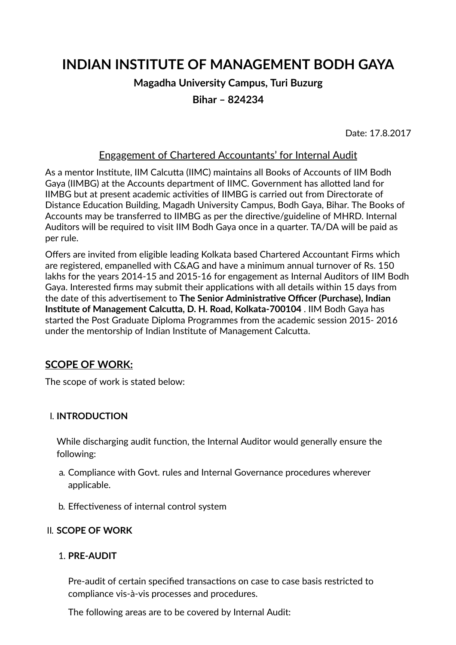# **INDIAN INSTITUTE OF MANAGEMENT BODH GAYA**

## **Magadha University Campus, Turi Buzurg**

**Bihar – 824234**

Date: 17.8.2017

#### Engagement of Chartered Accountants' for Internal Audit

As a mentor Institute, IIM Calcutta (IIMC) maintains all Books of Accounts of IIM Bodh Gaya (IIMBG) at the Accounts department of IIMC. Government has allotted land for IIMBG but at present academic activities of IIMBG is carried out from Directorate of Distance Education Building, Magadh University Campus, Bodh Gaya, Bihar. The Books of Accounts may be transferred to IIMBG as per the directive/guideline of MHRD. Internal Auditors will be required to visit IIM Bodh Gaya once in a quarter. TA/DA will be paid as per rule.

Offers are invited from eligible leading Kolkata based Chartered Accountant Firms which are registered, empanelled with C&AG and have a minimum annual turnover of Rs. 150 lakhs for the years 2014-15 and 2015-16 for engagement as Internal Auditors of IIM Bodh Gaya. Interested firms may submit their applications with all details within 15 days from the date of this adversement to **The Senior Administrave Ocer (Purchase), Indian Institute of Management Calcutta, D. H. Road, Kolkata-700104 . IIM Bodh Gaya has** started the Post Graduate Diploma Programmes from the academic session 2015- 2016 under the mentorship of Indian Institute of Management Calcutta.

## **SCOPE OF WORK:**

The scope of work is stated below:

#### I. **INTRODUCTION**

While discharging audit function, the Internal Auditor would generally ensure the following:

- a. Compliance with Govt. rules and Internal Governance procedures wherever applicable.
- b. Effectiveness of internal control system

#### II. **SCOPE OF WORK**

#### 1. **PRE-AUDIT**

Pre-audit of certain specified transactions on case to case basis restricted to compliance vis-à-vis processes and procedures.

The following areas are to be covered by Internal Audit: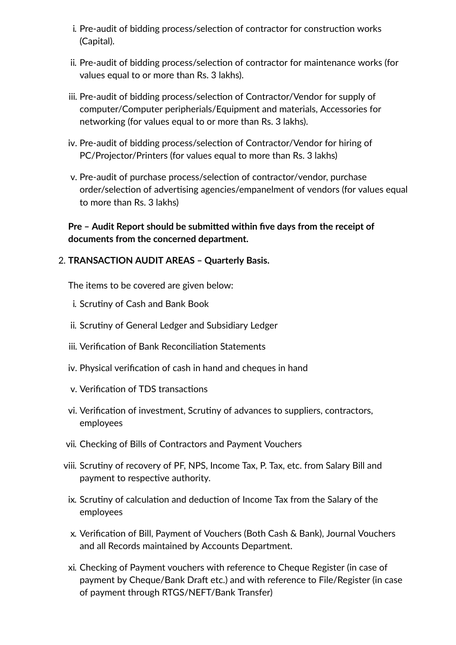- i. Pre-audit of bidding process/selection of contractor for construction works (Capital).
- ii. Pre-audit of bidding process/selection of contractor for maintenance works (for values equal to or more than Rs. 3 lakhs).
- iii. Pre-audit of bidding process/selection of Contractor/Vendor for supply of computer/Computer peripherials/Equipment and materials, Accessories for networking (for values equal to or more than Rs. 3 lakhs).
- iv. Pre-audit of bidding process/selection of Contractor/Vendor for hiring of PC/Projector/Printers (for values equal to more than Rs. 3 lakhs)
- v. Pre-audit of purchase process/selection of contractor/vendor, purchase order/selection of advertising agencies/empanelment of vendors (for values equal to more than Rs. 3 lakhs)

**Pre** – Audit Report should be submitted within five days from the receipt of **documents from the concerned department.**

#### 2. **TRANSACTION AUDIT AREAS – Quarterly Basis.**

The items to be covered are given below:

- i. Scrutiny of Cash and Bank Book
- ii. Scrutiny of General Ledger and Subsidiary Ledger
- iii. Verification of Bank Reconciliation Statements
- iv. Physical verification of cash in hand and cheques in hand
- v. Verification of TDS transactions
- vi. Verification of investment, Scrutiny of advances to suppliers, contractors, employees
- vii. Checking of Bills of Contractors and Payment Vouchers
- viii. Scrutiny of recovery of PF, NPS, Income Tax, P. Tax, etc. from Salary Bill and payment to respective authority.
	- ix. Scrutiny of calculation and deduction of Income Tax from the Salary of the employees
	- x. Verification of Bill, Payment of Vouchers (Both Cash & Bank), Journal Vouchers and all Records maintained by Accounts Department.
- xi. Checking of Payment vouchers with reference to Cheque Register (in case of payment by Cheque/Bank Draft etc.) and with reference to File/Register (in case of payment through RTGS/NEFT/Bank Transfer)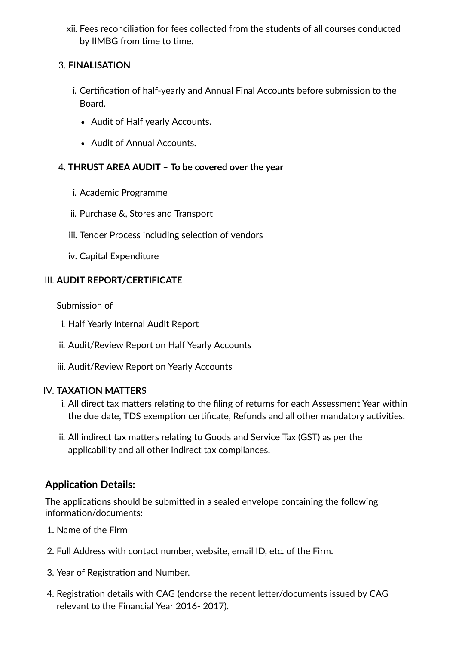xii. Fees reconciliation for fees collected from the students of all courses conducted by IIMBG from time to time.

## 3. **FINALISATION**

- i. Certification of half-yearly and Annual Final Accounts before submission to the Board.
	- Audit of Half yearly Accounts.
	- Audit of Annual Accounts.

## 4. **THRUST AREA AUDIT – To be covered over the year**

- i. Academic Programme
- ii. Purchase &, Stores and Transport
- iii. Tender Process including selection of vendors
- iv. Capital Expenditure

## III. **AUDIT REPORT/CERTIFICATE**

Submission of

- i. Half Yearly Internal Audit Report
- ii. Audit/Review Report on Half Yearly Accounts
- iii. Audit/Review Report on Yearly Accounts

#### IV. **TAXATION MATTERS**

- i. All direct tax matters relating to the filing of returns for each Assessment Year within the due date, TDS exemption certificate, Refunds and all other mandatory activities.
- ii. All indirect tax matters relating to Goods and Service Tax (GST) as per the applicability and all other indirect tax compliances.

## **Application Details:**

The applications should be submitted in a sealed envelope containing the following information/documents:

- 1. Name of the Firm
- 2. Full Address with contact number, website, email ID, etc. of the Firm.
- 3. Year of Registration and Number.
- 4. Registration details with CAG (endorse the recent letter/documents issued by CAG relevant to the Financial Year 2016- 2017).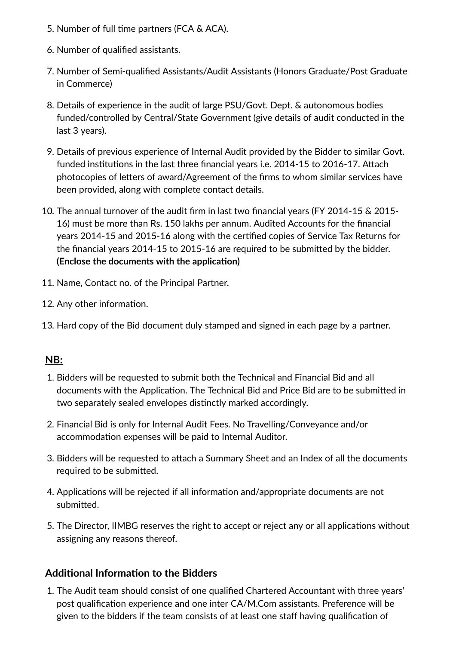- 5. Number of full time partners (FCA & ACA).
- 6. Number of qualified assistants.
- 7. Number of Semi-qualified Assistants/Audit Assistants (Honors Graduate/Post Graduate in Commerce)
- 8. Details of experience in the audit of large PSU/Govt. Dept. & autonomous bodies funded/controlled by Central/State Government (give details of audit conducted in the last 3 years).
- 9. Details of previous experience of Internal Audit provided by the Bidder to similar Govt. funded institutions in the last three financial years i.e. 2014-15 to 2016-17. Attach photocopies of letters of award/Agreement of the firms to whom similar services have been provided, along with complete contact details.
- 10. The annual turnover of the audit firm in last two financial years (FY 2014-15 & 2015-16) must be more than Rs. 150 lakhs per annum. Audited Accounts for the financial years 2014-15 and 2015-16 along with the certified copies of Service Tax Returns for the financial years 2014-15 to 2015-16 are required to be submitted by the bidder. **(Enclose the documents with the application)**
- 11. Name, Contact no. of the Principal Partner.
- 12. Any other information.
- 13. Hard copy of the Bid document duly stamped and signed in each page by a partner.

# **NB:**

- 1. Bidders will be requested to submit both the Technical and Financial Bid and all documents with the Application. The Technical Bid and Price Bid are to be submitted in two separately sealed envelopes distinctly marked accordingly.
- 2. Financial Bid is only for Internal Audit Fees. No Travelling/Conveyance and/or accommodation expenses will be paid to Internal Auditor.
- 3. Bidders will be requested to attach a Summary Sheet and an Index of all the documents required to be submitted.
- 4. Applications will be rejected if all information and/appropriate documents are not submitted.
- 5. The Director, IIMBG reserves the right to accept or reject any or all applications without assigning any reasons thereof.

# **Additional Information to the Bidders**

1. The Audit team should consist of one qualified Chartered Accountant with three years' post qualification experience and one inter CA/M.Com assistants. Preference will be given to the bidders if the team consists of at least one staff having qualification of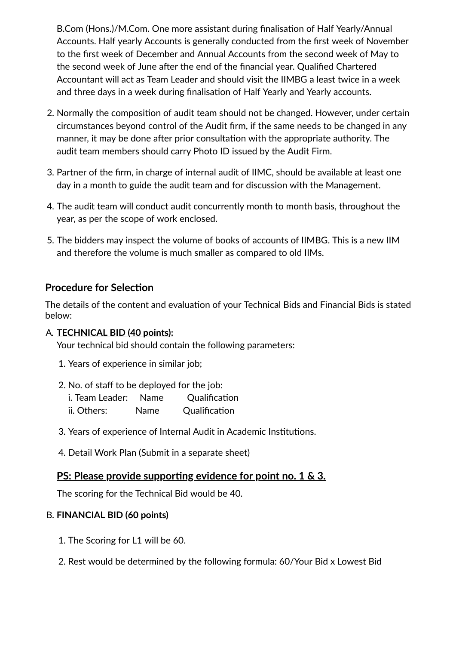B.Com (Hons.)/M.Com. One more assistant during finalisation of Half Yearly/Annual Accounts. Half yearly Accounts is generally conducted from the first week of November to the first week of December and Annual Accounts from the second week of May to the second week of June after the end of the financial year. Qualified Chartered Accountant will act as Team Leader and should visit the IIMBG a least twice in a week and three days in a week during finalisation of Half Yearly and Yearly accounts.

- 2. Normally the composition of audit team should not be changed. However, under certain circumstances beyond control of the Audit firm, if the same needs to be changed in any manner, it may be done after prior consultation with the appropriate authority. The audit team members should carry Photo ID issued by the Audit Firm.
- 3. Partner of the firm, in charge of internal audit of IIMC, should be available at least one day in a month to guide the audit team and for discussion with the Management.
- 4. The audit team will conduct audit concurrently month to month basis, throughout the year, as per the scope of work enclosed.
- 5. The bidders may inspect the volume of books of accounts of IIMBG. This is a new IIM and therefore the volume is much smaller as compared to old IIMs.

## **Procedure for Selection**

The details of the content and evaluation of your Technical Bids and Financial Bids is stated below:

#### A. **TECHNICAL BID (40 points):**

Your technical bid should contain the following parameters:

- 1. Years of experience in similar job;
- 2. No. of staff to be deployed for the job:
	- i. Team Leader: Name Qualification ii. Others: Name Qualification
- 3. Years of experience of Internal Audit in Academic Institutions.
- 4. Detail Work Plan (Submit in a separate sheet)

## **PS:** Please provide supporting evidence for point no. 1 & 3.

The scoring for the Technical Bid would be 40.

## B. **FINANCIAL BID (60 points)**

- 1. The Scoring for L1 will be 60.
- 2. Rest would be determined by the following formula: 60/Your Bid x Lowest Bid